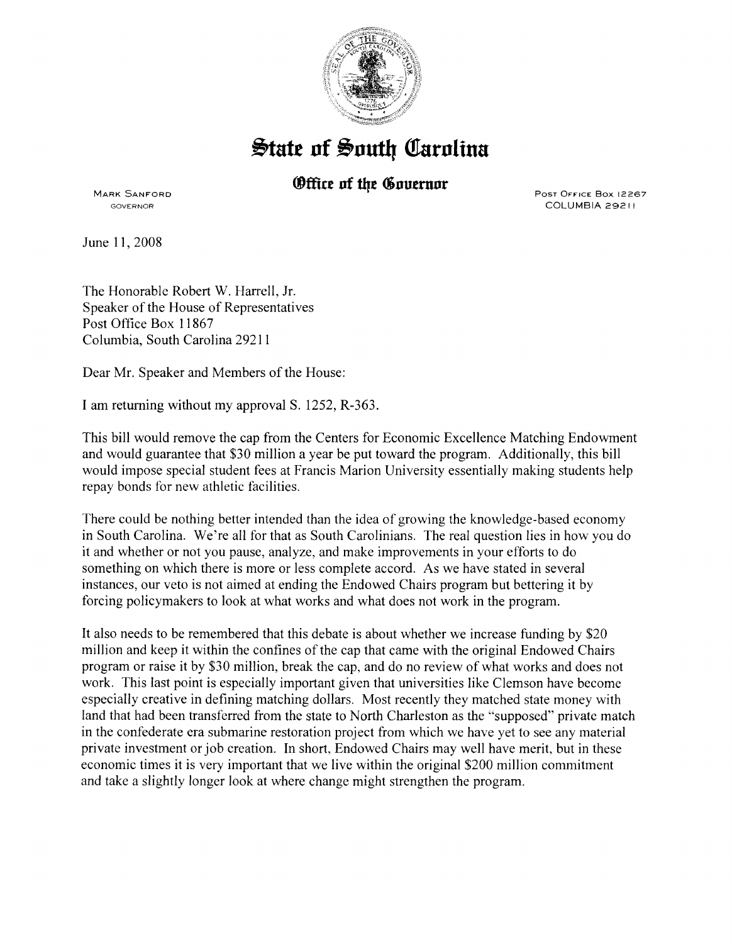

## $\frac{1}{2}$ tate of South Carolina

## *<u>Office</u>* of the Governor

MARK SANFORD GOVERNOR

Post Office Box 12267 COLUMBIA 29211

June 11, 2008

The Honorable Robert W. Harrell, Jr. Speaker of the House of Representatives Post Office Box 11867 Columbia, South Carolina 29211

Dear Mr. Speaker and Members of the House:

I am returning without my approval S. 1252, R-363.

This bill would remove the cap from the Centers for Economic Excellence Matching Endowment and would guarantee that \$30 million a year be put toward the program. Additionally, this bill would impose special student fees at Francis Marion University essentially making students help repay bonds for new athletic facilities.

There could be nothing better intended than the idea of growing the knowledge-based economy in South Carolina. We're all for that as South Carolinians. The real question lies in how you do it and whether or not you pause, analyze, and make improvements in your efforts to do something on which there is more or less complete accord. As we have stated in several instances, our veto is not aimed at ending the Endowed Chairs program but bettering it by forcing policymakers to look at what works and what does not work in the program.

It also needs to be remembered that this debate is about whether we increase funding by \$20 million and keep it within the confines of the cap that came with the original Endowed Chairs program or raise it by \$30 million, break the cap, and do no review of what works and does not work. This last point is especially important given that universities like Clemson have become especially creative in defining matching dollars. Most recently they matched state money with land that had been transferred from the state to North Charleston as the "supposed" private match in the confederate era submarine restoration project from which we have yet to see any material private investment or job creation. In short, Endowed Chairs may well have merit, but in these economic times it is very important that we live within the original \$200 million commitment and take a slightly longer look at where change might strengthen the program.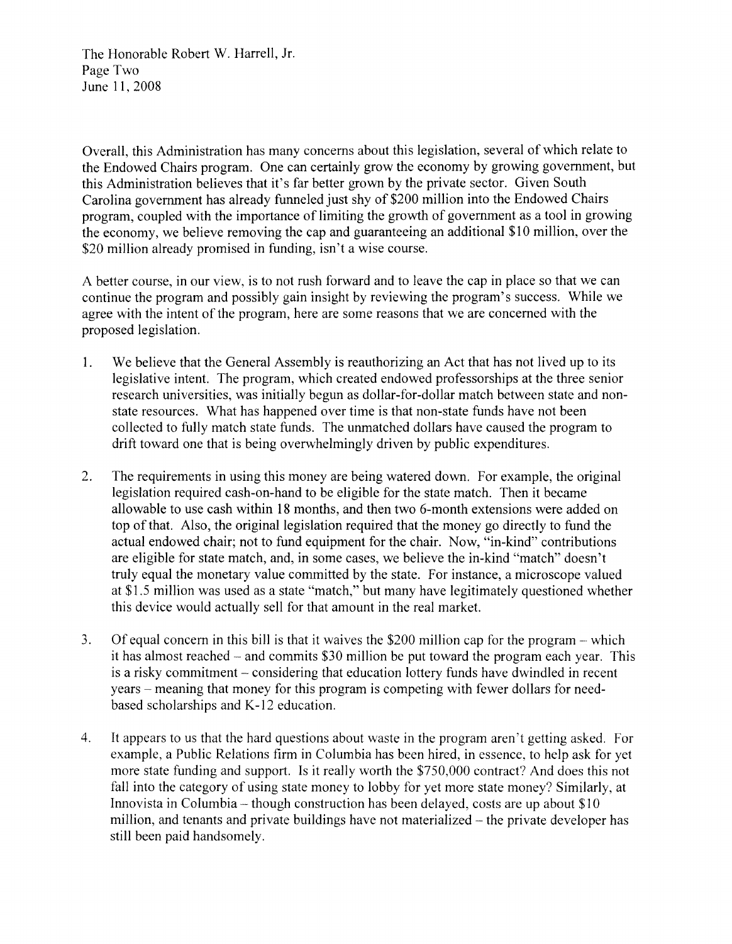The Honorable Robert W. Harrell, Jr. Page Two June 11, 2008

Overall, this Administration has many concerns about this legislation, several of which relate to the Endowed Chairs program. One can certainly grow the economy by growing government, but this Administration believes that it's far better grown by the private sector. Given South Carolina government has already funneled just shy of \$200 million into the Endowed Chairs program, coupled with the importance of limiting the growth of government as a tool in growing the economy, we believe removing the cap and guaranteeing an additional \$10 million, over the \$20 million already promised in funding, isn't a wise course.

A better course, in our view, is to not rush forward and to leave the cap in place so that we can continue the program and possibly gain insight by reviewing the program's success. While we agree with the intent of the program, here are some reasons that we are concerned with the proposed legislation.

- I. We believe that the General Assembly is reauthorizing an Act that has not lived up to its legislative intent. The program, which created endowed professorships at the three senior research universities, was initially begun as dollar-for-dollar match between state and nonstate resources. What has happened over time is that non-state funds have not been collected to fully match state funds. The unmatched dollars have caused the program to drift toward one that is being overwhelmingly driven by public expenditures.
- 2. The requirements in using this money are being watered down. For example, the original legislation required cash-on-hand to be eligible for the state match. Then it became allowable to use cash within 18 months, and then two 6-month extensions were added on top of that. Also, the original legislation required that the money go directly to fund the actual endowed chair; not to fund equipment for the chair. Now, "in-kind" contributions are eligible for state match, and, in some cases, we believe the in-kind "match" doesn't truly equal the monetary value committed by the state. For instance, a microscope valued at \$1.5 million was used as a state "match," but many have legitimately questioned whether this device would actually sell for that amount in the real market.
- 3. Of equal concern in this bill is that it waives the \$200 million cap for the program- which it has almost reached- and commits \$30 million be put toward the program each year. This is a risky commitment – considering that education lottery funds have dwindled in recent years -meaning that money for this program is competing with fewer dollars for needbased scholarships and K-12 education.
- 4. It appears to us that the hard questions about waste in the program aren't getting asked. For example, a Public Relations firm in Columbia has been hired, in essence, to help ask for yet more state funding and support. Is it really worth the \$750,000 contract? And does this not fall into the category of using state money to lobby for yet more state money? Similarly, at Innovista in Columbia – though construction has been delayed, costs are up about  $$10$ million, and tenants and private buildings have not materialized- the private developer has still been paid handsomely.